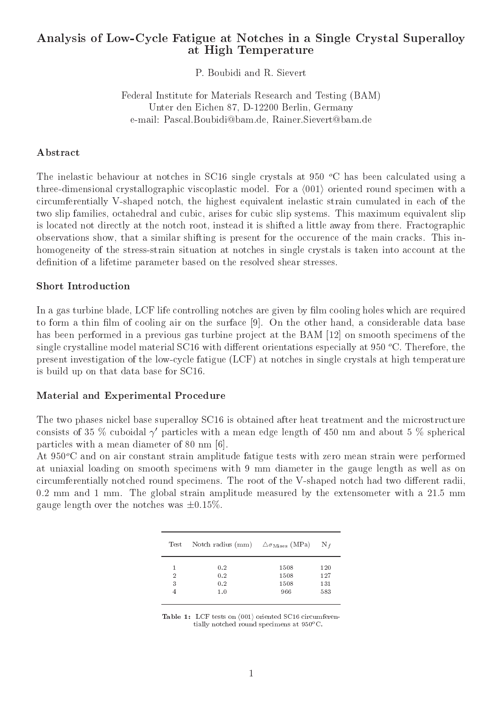## Analysis of Low-Cycle Fatigue at Notches in a Single Crystal Superalloy at High Temperature

P. Boubidi and R. Sievert

## Federal Institute for Materials Research and Testing (BAM) Unter den Eichen 87, D-12200 Berlin, Germany e-mail: Pascal.Boubidi@bam.de, Rainer.Sievert@bam.de

## Abstract

The inelastic behaviour at notches in SC16 single crystals at 950  $\degree$ C has been calculated using a three-dimensional crystallographic viscoplastic model. For a  $\langle 001 \rangle$  oriented round specimen with a circumferentially V-shaped notch, the highest equivalent inelastic strain cumulated in each of the two slip families, octahedral and cubic, arises for cubic slip systems. This maximum equivalent slip is located not directly at the notch root, instead it is shifted a little away from there. Fractographic observations show, that a similar shifting is present for the occurence of the main cracks. This inhomogeneity of the stress-strain situation at notches in single crystals is taken into account at the definition of a lifetime parameter based on the resolved shear stresses.

## Short Introduction

In a gas turbine blade, LCF life controlling notches are given by film cooling holes which are required to form a thin film of cooling air on the surface [9]. On the other hand, a considerable data base has been performed in a previous gas turbine project at the BAM [12] on smooth specimens of the single crystalline model material SC16 with different orientations especially at 950  $^{\circ}$ C. Therefore, the present investigation of the low-cycle fatigue (LCF) at notches in single crystals at high temperature is build up on that data base for SC16.

## Material and Experimental Procedure

The two phases nickel base superalloy SC16 is obtained after heat treatment and the microstructure consists of 35 % cuboidal  $\gamma'$  particles with a mean edge length of 450 nm and about 5 % spherical particles with a mean diameter of 80 nm [6].

At 950<sup>o</sup>C and on air constant strain amplitude fatigue tests with zero mean strain were performed at uniaxial loading on smooth specimens with 9 mm diameter in the gauge length as well as on circumferentially notched round specimens. The root of the V-shaped notch had two different radii, 0.2 mm and 1 mm. The global strain amplitude measured by the extensometer with a 21.5 mm gauge length over the notches was  $\pm 0.15\%$ .

| Test | Notch radius (mm) $\Delta \sigma_{\text{Mises}}$ (MPa) N <sub>f</sub> |      |     |
|------|-----------------------------------------------------------------------|------|-----|
|      | 0.2                                                                   | 1508 | 120 |
| 2    | 0.2                                                                   | 1508 | 127 |
| 3    | 0.2                                                                   | 1508 | 131 |
|      | 1.0                                                                   | 966  | 583 |

Table 1: LCF tests on h001i oriented SC16 circumferentially notched round specimens at  $950^oC$ .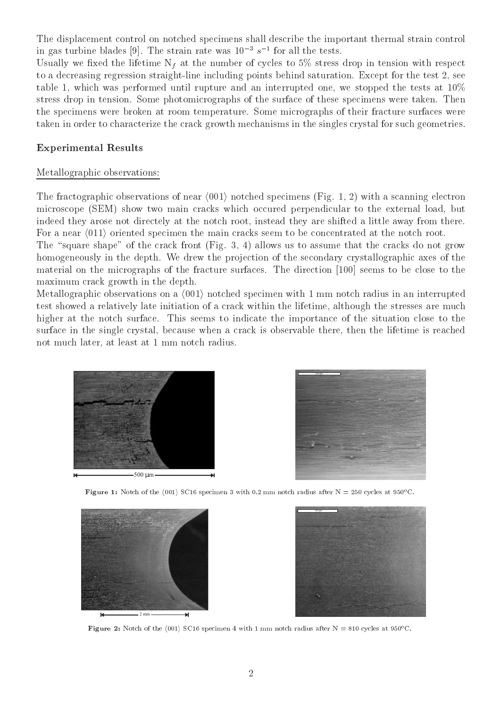The displacement control on notched specimens shall describe the important thermal strain control in gas turbine blades [9]. The strain rate was  $10-8$  s10 fm all the tests.

Usually we fixed the lifetime  $N_f$  at the number of cycles to 5% stress drop in tension with respect to a decreasing regression straight-line including points behind saturation. Except for the test 2, see table 1, which was performed until rupture and an interrupted one, we stopped the tests at  $10\%$ stress drop in tension. Some photomicrographs of the surface of these specimens were taken. Then the specimens were broken at room temperature. Some micrographs of their fracture surfaces were taken in order to characterize the crack growth mechanisms in the singles crystal for such geometries.

#### Experimental Results

## Metallographic observations:

The fractographic observations of near  $\langle 001 \rangle$  notched specimens (Fig. 1, 2) with a scanning electron microscope (SEM) show two main cracks which occured perpendicular to the external load, but indeed they arose not directely at the notch root, instead they are shifted a little away from there. For a near  $\langle 011 \rangle$  oriented specimen the main cracks seem to be concentrated at the notch root.

The "square shape" of the crack front (Fig. 3, 4) allows us to assume that the cracks do not grow homogeneously in the depth. We drew the projection of the secondary crystallographic axes of the material on the micrographs of the fracture surfaces. The direction [100] seems to be close to the maximum crack growth in the depth.

Metallographic observations on a  $\langle 001 \rangle$  notched specimen with 1 mm notch radius in an interrupted test showed a relatively late initiation of a crack within the lifetime, although the stresses are much higher at the notch surface. This seems to indicate the importance of the situation close to the surface in the single crystal, because when a crack is observable there, then the lifetime is reached not much later, at least at 1 mm notch radius.





**Figure 1:** Notch of the (001) SC16 specimen 3 with 0.2 mm notch radius after  $N = 250$  cycles at 950 C.





**Figure 2:** Notch of the (001) SC16 specimen 4 with 1 mm notch radius after  $N = 810$  cycles at 950 C.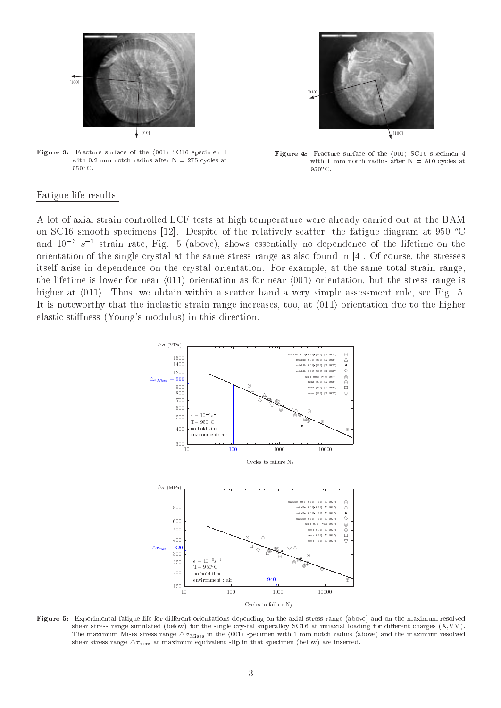



**Figure 3:** Fracture surface of the (001) SC16 specimen 1 with 0.2 mm notch radius after  $N = 275$  cycles at  $950^oC$ .

Figure 4: Fracture surface of the h001i SC16 specimen <sup>4</sup> with 1 mm notch radius after  $N = 810$  cycles at  $950^oC$ .

#### Fatigue life results:

A lot of axial strain controlled LCF tests at high temperature were already carried out at the BAM on SC16 smooth specimens [12]. Despite of the relatively scatter, the fatigue diagram at 950  $^{\circ}$ C and  $10^{-3}$  s<sup>-1</sup> strain rate, Fig. 5 (above), shows essentially no dependence of the lifetime on the orientation of the single crystal at the same stress range as also found in [4]. Of course, the stresses itself arise in dependence on the crystal orientation. For example, at the same total strain range, the lifetime is lower for near  $\langle 011 \rangle$  orientation as for near  $\langle 001 \rangle$  orientation, but the stress range is higher at  $\langle 011 \rangle$ . Thus, we obtain within a scatter band a very simple assessment rule, see Fig. 5. It is noteworthy that the inelastic strain range increases, too, at  $\langle 011 \rangle$  orientation due to the higher elastic stiffness (Young's modulus) in this direction.



Figure 5: Experimental fatigue life for dierent orientations depending on the axial stress range (above) and on the maximum resolved shear stress range simulated (below) for the single crystal superalloy SC16 at uniaxial loading for different charges (X,VM). The maximum Mises stress range  $\Delta\theta$  Mises in the (001) specimen with 1 mm notch radius (above) and the maximum resolved shear stress range  $\triangle\tau_{\text{max}}$  at maximum equivalent slip in that specimen (below) are inserted.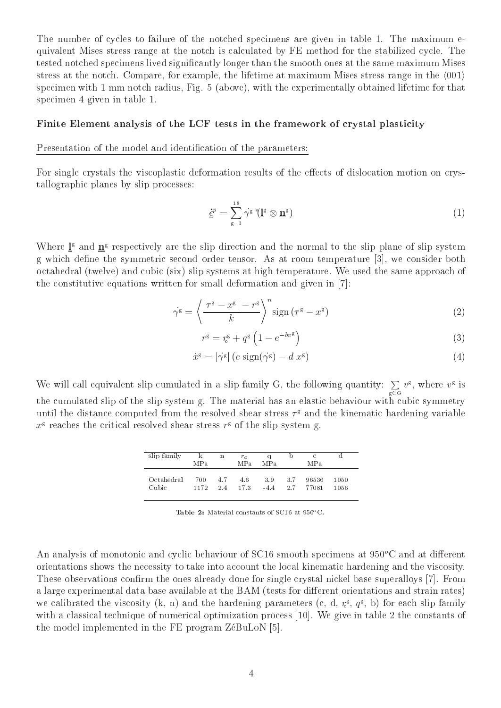The number of cycles to failure of the notched specimens are given in table 1. The maximum equivalent Mises stress range at the notch is calculated by FE method for the stabilized cycle. The tested notched specimens lived signicantly longer than the smooth ones at the same maximum Mises stress at the notch. Compare, for example, the lifetime at maximum Mises stress range in the  $(001)$ specimen with 1 mm notch radius, Fig. 5 (above), with the experimentally obtained lifetime for that specimen 4 given in table 1.

#### Finite Element analysis of the LCF tests in the framework of crystal plasticity

Presentation of the model and identification of the parameters:

For single crystals the viscoplastic deformation results of the effects of dislocation motion on crystallographic planes by slip processes:

$$
\dot{\xi}^p = \sum_{g=1}^{18} \dot{\gamma}^g \left( \underline{\mathbf{I}}^g \otimes \underline{\mathbf{n}}^g \right) \tag{1}
$$

Where  $I^{\circ}$  and  $\mathbf{n}^{\circ}$  respectively are the slip direction and the normal to the slip plane of slip system g which define the symmetric second order tensor. As at room temperature [3], we consider both octahedral (twelve) and cubic (six) slip systems at high temperature. We used the same approach of the constitutive equations written for small deformation and given in [7]:

$$
\dot{\gamma^{\rm g}} = \left\langle \frac{|\tau^{\rm g} - x^{\rm g}| - r^{\rm g}}{k} \right\rangle^n \operatorname{sign}\left(\tau^{\rm g} - x^{\rm g}\right) \tag{2}
$$

$$
r^{\mathsf{g}} = r_{\mathsf{o}}^{\mathsf{g}} + q^{\mathsf{g}} \left( 1 - e^{-bv^{\mathsf{g}}} \right) \tag{3}
$$

$$
\dot{x}^{\rm g} = |\dot{\gamma}^{\rm g}| \left( c \, \operatorname{sign}(\dot{\gamma}^{\rm g}) - d \, x^{\rm g} \right) \tag{4}
$$

We will call equivalent slip cumulated in a slip family G, the following quantity:  $\sum\limits_{g\in G}v^g,$  where  $v^g$  is the cumulated slip of the slip system g. The material has an elastic behaviour with cubic symmetry until the distance computed from the resolved shear stress  $\tau^\circ$  and the kinematic hardening variable  $x$  reaches the critical resolved shear stress  $r$  of the slip system g.

| slip family | ĸ<br>MPa | $\mathbf n$ | $r_{\alpha}$<br>MP <sub>a</sub> | MPa.   |      | $\mathcal{C}$<br>MP <sub>a</sub> |      |
|-------------|----------|-------------|---------------------------------|--------|------|----------------------------------|------|
| Octahedral  | 700      | 4.7         | 4.6                             | 3.9    | -3.7 | 96536                            | 1050 |
| Cubic       | 1172     | 2.4         | 17.3                            | $-4.4$ | 2.7  | 77081                            | 1056 |

**Table 2:** Material constants of  $5C10$  at  $950^{\circ}$ C.

An analysis of monotonic and cyclic behaviour of  $SC16$  smooth specimens at  $950^{\circ}$ C and at different orientations shows the necessity to take into account the local kinematic hardening and the viscosity. These observations confirm the ones already done for single crystal nickel base superalloys [7]. From a large experimental data base available at the BAM (tests for different orientations and strain rates) we calibrated the viscosity  $(\kappa, n)$  and the hardening parameters  $(c, a, \zeta, q^\circ, \rho)$  for each slip family with a classical technique of numerical optimization process [10]. We give in table 2 the constants of the model implemented in the FE program ZéBuLoN [5].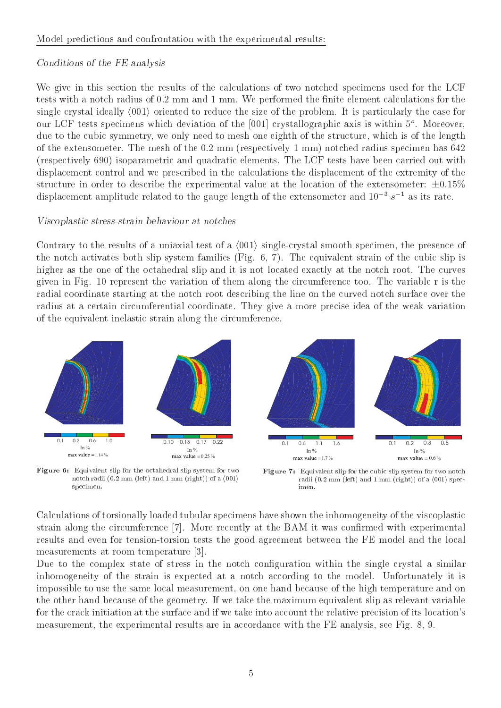## Model predictions and confrontation with the experimental results:

## Conditions of the FE analysis

We give in this section the results of the calculations of two notched specimens used for the LCF tests with a notch radius of 0.2 mm and 1 mm. We performed the finite element calculations for the single crystal ideally  $\langle 001 \rangle$  oriented to reduce the size of the problem. It is particularly the case for our LCF tests specimens which deviation of the [001] crystallographic axis is within 5o . Moreover, due to the cubic symmetry, we only need to mesh one eighth of the structure, which is of the length of the extensometer. The mesh of the 0.2 mm (respectively 1 mm) notched radius specimen has 642 (respectively 690) isoparametric and quadratic elements. The LCF tests have been carried out with displacement control and we prescribed in the calculations the displacement of the extremity of the structure in order to describe the experimental value at the location of the extensometer:  $\pm 0.15\%$ displacement amplitude related to the gauge length of the extensometer and  $10^{-3} s^{-1}$  as its rate.

## Viscoplastic stress-strain behaviour at notches

Contrary to the results of a uniaxial test of a  $\langle 001 \rangle$  single-crystal smooth specimen, the presence of the notch activates both slip system families (Fig. 6, 7). The equivalent strain of the cubic slip is higher as the one of the octahedral slip and it is not located exactly at the notch root. The curves given in Fig. 10 represent the variation of them along the circumference too. The variable r is the radial coordinate starting at the notch root describing the line on the curved notch surface over the radius at a certain circumferential coordinate. They give a more precise idea of the weak variation of the equivalent inelastic strain along the circumference.



Figure 6: Equivalent slip for the octahedral slip system for two notch radii (0.2 mm (left) and 1 mm (right)) of a h001i specimen.

Figure 7: Equivalent slip for the cubic slip system for two notch radii (0.2 mm (left) and 1 mm (right)) of a h001i spec-

Calculations of torsionally loaded tubular specimens have shown the inhomogeneity of the viscoplastic strain along the circumference [7]. More recently at the BAM it was conrmed with experimental results and even for tension-torsion tests the good agreement between the FE model and the local measurements at room temperature [3].

Due to the complex state of stress in the notch configuration within the single crystal a similar inhomogeneity of the strain is expected at a notch according to the model. Unfortunately it is impossible to use the same local measurement, on one hand because of the high temperature and on the other hand because of the geometry. If we take the maximum equivalent slip as relevant variable for the crack initiation at the surface and if we take into account the relative precision of its location's measurement, the experimental results are in accordance with the FE analysis, see Fig. 8, 9.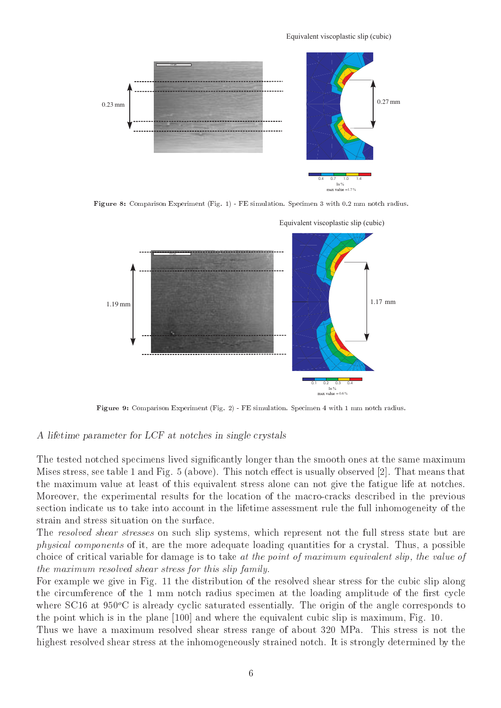Equivalent viscoplastic slip (cubic)



Figure 8: Comparison Experiment (Fig. 1) - FE simulation. Specimen 3 with 0.2 mm notch radius.



Figure 9: Comparison Experiment (Fig. 2) - FE simulation. Specimen 4 with 1 mm notch radius.

### A lifetime parameter for LCF at notches in single crystals

The tested notched specimens lived signicantly longer than the smooth ones at the same maximum Mises stress, see table 1 and Fig. 5 (above). This notch effect is usually observed [2]. That means that the maximum value at least of this equivalent stress alone can not give the fatigue life at notches. Moreover, the experimental results for the location of the macro-cracks described in the previous section indicate us to take into account in the lifetime assessment rule the full inhomogeneity of the strain and stress situation on the surface.

The resolved shear stresses on such slip systems, which represent not the full stress state but are physical components of it, are the more adequate loading quantities for a crystal. Thus, a possible choice of critical variable for damage is to take at the point of maximum equivalent slip, the value of the maximum resolved shear stress for this slip family.

For example we give in Fig. 11 the distribution of the resolved shear stress for the cubic slip along the circumference of the 1 mm notch radius specimen at the loading amplitude of the first cycle where SC16 at  $950^{\circ}$ C is already cyclic saturated essentially. The origin of the angle corresponds to the point which is in the plane [100] and where the equivalent cubic slip is maximum, Fig. 10.

Thus we have a maximum resolved shear stress range of about 320 MPa. This stress is not the highest resolved shear stress at the inhomogeneously strained notch. It is strongly determined by the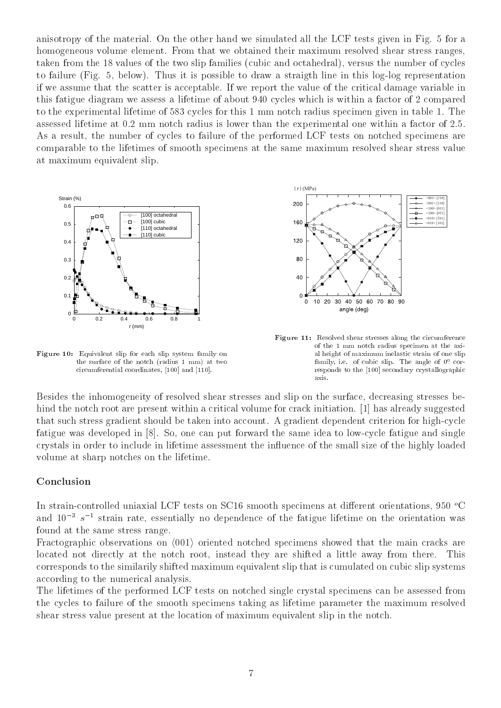anisotropy of the material. On the other hand we simulated all the LCF tests given in Fig. 5 for a homogeneous volume element. From that we obtained their maximum resolved shear stress ranges, taken from the 18 values of the two slip families (cubic and octahedral), versus the number of cycles to failure (Fig. 5, below). Thus it is possible to draw a straigth line in this log-log representation if we assume that the scatter is acceptable. If we report the value of the critical damage variable in this fatigue diagram we assess a lifetime of about 940 cycles which is within a factor of 2 compared to the experimental lifetime of 583 cycles for this 1 mm notch radius specimen given in table 1. The assessed lifetime at 0.2 mm notch radius is lower than the experimental one within a factor of 2.5. As a result, the number of cycles to failure of the performed LCF tests on notched specimens are comparable to the lifetimes of smooth specimens at the same maximum resolved shear stress value at maximum equivalent slip.



Figure 10: Equivalent slip for each slip system family on the surface of the notch (radius 1 mm) at two circumferential coordinates, [100] and [110].



Figure 11: Resolved shear stresses along the circumference of the 1 mm notch radius specimen at the axial height of maximum inelastic strain of one slipfamily, i.e. of cubic slip. The angle of 0o corresponds to the [100] secondary crystallographicaxis.

Besides the inhomogeneity of resolved shear stresses and slip on the surface, decreasing stresses behind the notch root are present within a critical volume for crack initiation. [1] has already suggested that such stress gradient should be taken into account. A gradient dependent criterion for high-cycle fatigue was developed in [8]. So, one can put forward the same idea to low-cycle fatigue and single crystals in order to include in lifetime assessment the in
uence of the small size of the highly loaded volume at sharp notches on the lifetime.

#### Conclusion

In strain-controlled uniaxial LCF tests on SC16 smooth specimens at different orientations, 950  $^{\circ}$ C and  $10^{-3} s^{-1}$  strain rate, essentially no dependence of the fatigue lifetime on the orientation was found at the same stress range.

Fractographic observations on  $\langle 001 \rangle$  oriented notched specimens showed that the main cracks are located not directly at the notch root, instead they are shifted a little away from there. This corresponds to the similarily shifted maximum equivalent slip that is cumulated on cubic slip systems according to the numerical analysis.

The lifetimes of the performed LCF tests on notched single crystal specimens can be assessed from the cycles to failure of the smooth specimens taking as lifetime parameter the maximum resolved shear stress value present at the location of maximum equivalent slip in the notch.